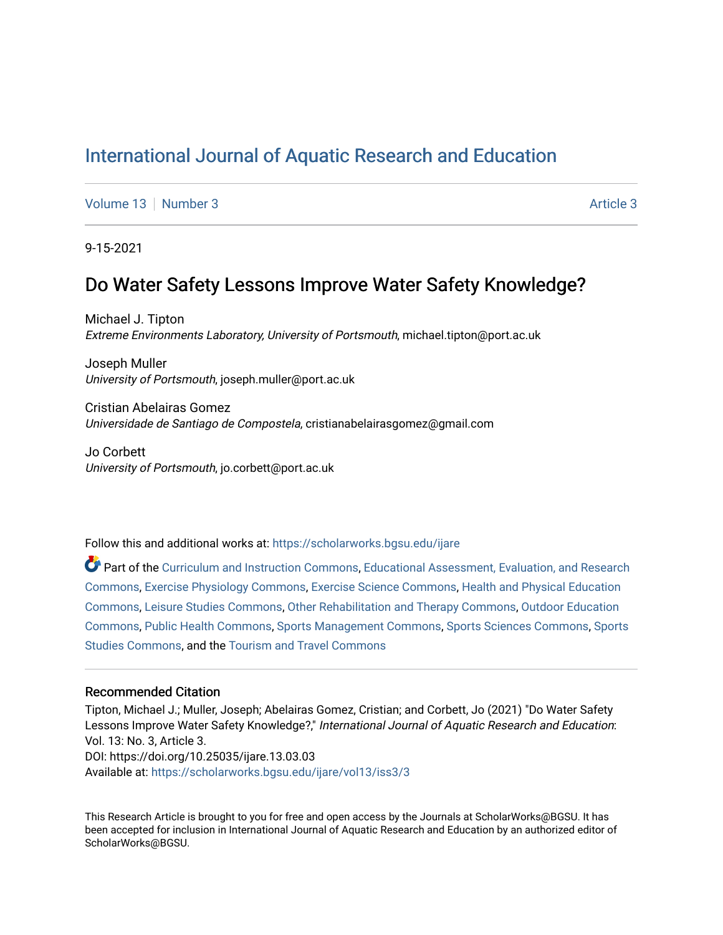# [International Journal of Aquatic Research and Education](https://scholarworks.bgsu.edu/ijare)

[Volume 13](https://scholarworks.bgsu.edu/ijare/vol13) [Number 3](https://scholarworks.bgsu.edu/ijare/vol13/iss3) [Article 3](https://scholarworks.bgsu.edu/ijare/vol13/iss3/3) Article 3 Article 3

9-15-2021

# Do Water Safety Lessons Improve Water Safety Knowledge?

Michael J. Tipton Extreme Environments Laboratory, University of Portsmouth, michael.tipton@port.ac.uk

Joseph Muller University of Portsmouth, joseph.muller@port.ac.uk

Cristian Abelairas Gomez Universidade de Santiago de Compostela, cristianabelairasgomez@gmail.com

Jo Corbett University of Portsmouth, jo.corbett@port.ac.uk

Follow this and additional works at: [https://scholarworks.bgsu.edu/ijare](https://scholarworks.bgsu.edu/ijare?utm_source=scholarworks.bgsu.edu%2Fijare%2Fvol13%2Fiss3%2F3&utm_medium=PDF&utm_campaign=PDFCoverPages) 

Part of the [Curriculum and Instruction Commons,](http://network.bepress.com/hgg/discipline/786?utm_source=scholarworks.bgsu.edu%2Fijare%2Fvol13%2Fiss3%2F3&utm_medium=PDF&utm_campaign=PDFCoverPages) Educational Assessment, Evaluation, and Research [Commons](http://network.bepress.com/hgg/discipline/796?utm_source=scholarworks.bgsu.edu%2Fijare%2Fvol13%2Fiss3%2F3&utm_medium=PDF&utm_campaign=PDFCoverPages), [Exercise Physiology Commons](http://network.bepress.com/hgg/discipline/73?utm_source=scholarworks.bgsu.edu%2Fijare%2Fvol13%2Fiss3%2F3&utm_medium=PDF&utm_campaign=PDFCoverPages), [Exercise Science Commons,](http://network.bepress.com/hgg/discipline/1091?utm_source=scholarworks.bgsu.edu%2Fijare%2Fvol13%2Fiss3%2F3&utm_medium=PDF&utm_campaign=PDFCoverPages) [Health and Physical Education](http://network.bepress.com/hgg/discipline/1327?utm_source=scholarworks.bgsu.edu%2Fijare%2Fvol13%2Fiss3%2F3&utm_medium=PDF&utm_campaign=PDFCoverPages)  [Commons](http://network.bepress.com/hgg/discipline/1327?utm_source=scholarworks.bgsu.edu%2Fijare%2Fvol13%2Fiss3%2F3&utm_medium=PDF&utm_campaign=PDFCoverPages), [Leisure Studies Commons](http://network.bepress.com/hgg/discipline/1197?utm_source=scholarworks.bgsu.edu%2Fijare%2Fvol13%2Fiss3%2F3&utm_medium=PDF&utm_campaign=PDFCoverPages), [Other Rehabilitation and Therapy Commons](http://network.bepress.com/hgg/discipline/758?utm_source=scholarworks.bgsu.edu%2Fijare%2Fvol13%2Fiss3%2F3&utm_medium=PDF&utm_campaign=PDFCoverPages), [Outdoor Education](http://network.bepress.com/hgg/discipline/1381?utm_source=scholarworks.bgsu.edu%2Fijare%2Fvol13%2Fiss3%2F3&utm_medium=PDF&utm_campaign=PDFCoverPages)  [Commons](http://network.bepress.com/hgg/discipline/1381?utm_source=scholarworks.bgsu.edu%2Fijare%2Fvol13%2Fiss3%2F3&utm_medium=PDF&utm_campaign=PDFCoverPages), [Public Health Commons](http://network.bepress.com/hgg/discipline/738?utm_source=scholarworks.bgsu.edu%2Fijare%2Fvol13%2Fiss3%2F3&utm_medium=PDF&utm_campaign=PDFCoverPages), [Sports Management Commons,](http://network.bepress.com/hgg/discipline/1193?utm_source=scholarworks.bgsu.edu%2Fijare%2Fvol13%2Fiss3%2F3&utm_medium=PDF&utm_campaign=PDFCoverPages) [Sports Sciences Commons,](http://network.bepress.com/hgg/discipline/759?utm_source=scholarworks.bgsu.edu%2Fijare%2Fvol13%2Fiss3%2F3&utm_medium=PDF&utm_campaign=PDFCoverPages) [Sports](http://network.bepress.com/hgg/discipline/1198?utm_source=scholarworks.bgsu.edu%2Fijare%2Fvol13%2Fiss3%2F3&utm_medium=PDF&utm_campaign=PDFCoverPages)  [Studies Commons,](http://network.bepress.com/hgg/discipline/1198?utm_source=scholarworks.bgsu.edu%2Fijare%2Fvol13%2Fiss3%2F3&utm_medium=PDF&utm_campaign=PDFCoverPages) and the [Tourism and Travel Commons](http://network.bepress.com/hgg/discipline/1082?utm_source=scholarworks.bgsu.edu%2Fijare%2Fvol13%2Fiss3%2F3&utm_medium=PDF&utm_campaign=PDFCoverPages)

#### Recommended Citation

Tipton, Michael J.; Muller, Joseph; Abelairas Gomez, Cristian; and Corbett, Jo (2021) "Do Water Safety Lessons Improve Water Safety Knowledge?," International Journal of Aquatic Research and Education: Vol. 13: No. 3, Article 3. DOI: https://doi.org/10.25035/ijare.13.03.03 Available at: [https://scholarworks.bgsu.edu/ijare/vol13/iss3/3](https://scholarworks.bgsu.edu/ijare/vol13/iss3/3?utm_source=scholarworks.bgsu.edu%2Fijare%2Fvol13%2Fiss3%2F3&utm_medium=PDF&utm_campaign=PDFCoverPages)

This Research Article is brought to you for free and open access by the Journals at ScholarWorks@BGSU. It has been accepted for inclusion in International Journal of Aquatic Research and Education by an authorized editor of ScholarWorks@BGSU.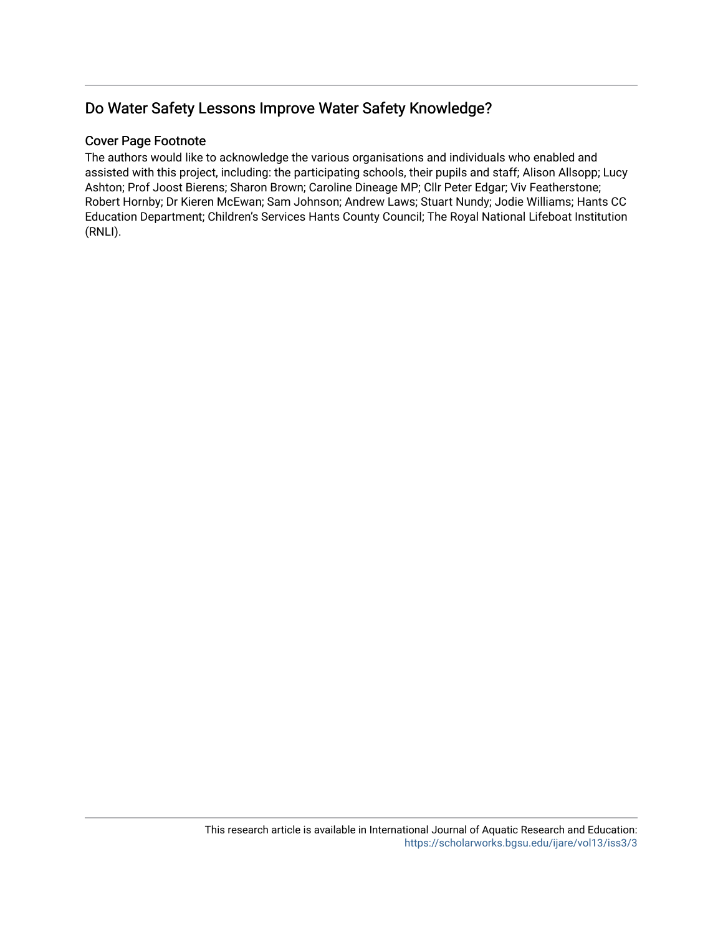# Do Water Safety Lessons Improve Water Safety Knowledge?

## Cover Page Footnote

The authors would like to acknowledge the various organisations and individuals who enabled and assisted with this project, including: the participating schools, their pupils and staff; Alison Allsopp; Lucy Ashton; Prof Joost Bierens; Sharon Brown; Caroline Dineage MP; Cllr Peter Edgar; Viv Featherstone; Robert Hornby; Dr Kieren McEwan; Sam Johnson; Andrew Laws; Stuart Nundy; Jodie Williams; Hants CC Education Department; Children's Services Hants County Council; The Royal National Lifeboat Institution (RNLI).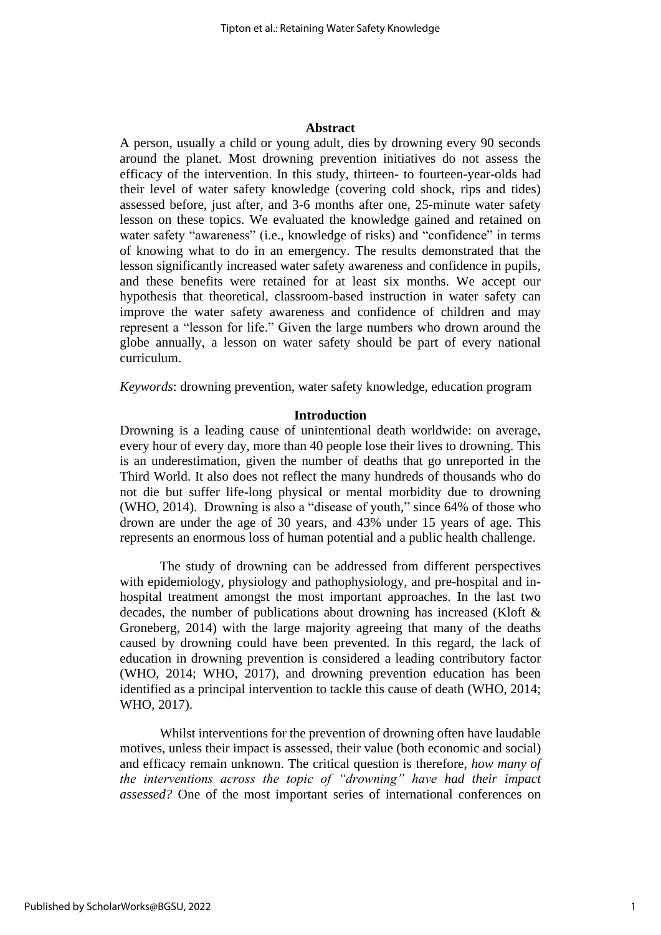### **Abstract**

A person, usually a child or young adult, dies by drowning every 90 seconds around the planet. Most drowning prevention initiatives do not assess the efficacy of the intervention. In this study, thirteen- to fourteen-year-olds had their level of water safety knowledge (covering cold shock, rips and tides) assessed before, just after, and 3-6 months after one, 25-minute water safety lesson on these topics. We evaluated the knowledge gained and retained on water safety "awareness" (i.e., knowledge of risks) and "confidence" in terms of knowing what to do in an emergency. The results demonstrated that the lesson significantly increased water safety awareness and confidence in pupils, and these benefits were retained for at least six months. We accept our hypothesis that theoretical, classroom-based instruction in water safety can improve the water safety awareness and confidence of children and may represent a "lesson for life." Given the large numbers who drown around the globe annually, a lesson on water safety should be part of every national curriculum.

*Keywords*: drowning prevention, water safety knowledge, education program

#### **Introduction**

Drowning is a leading cause of unintentional death worldwide: on average, every hour of every day, more than 40 people lose their lives to drowning. This is an underestimation, given the number of deaths that go unreported in the Third World. It also does not reflect the many hundreds of thousands who do not die but suffer life-long physical or mental morbidity due to drowning (WHO, 2014). Drowning is also a "disease of youth," since 64% of those who drown are under the age of 30 years, and 43% under 15 years of age. This represents an enormous loss of human potential and a public health challenge.

The study of drowning can be addressed from different perspectives with epidemiology, physiology and pathophysiology, and pre-hospital and inhospital treatment amongst the most important approaches. In the last two decades, the number of publications about drowning has increased (Kloft & Groneberg, 2014) with the large majority agreeing that many of the deaths caused by drowning could have been prevented. In this regard, the lack of education in drowning prevention is considered a leading contributory factor (WHO, 2014; WHO, 2017), and drowning prevention education has been identified as a principal intervention to tackle this cause of death (WHO, 2014; WHO, 2017).

Whilst interventions for the prevention of drowning often have laudable motives, unless their impact is assessed, their value (both economic and social) and efficacy remain unknown. The critical question is therefore, *how many of the interventions across the topic of "drowning" have had their impact assessed?* One of the most important series of international conferences on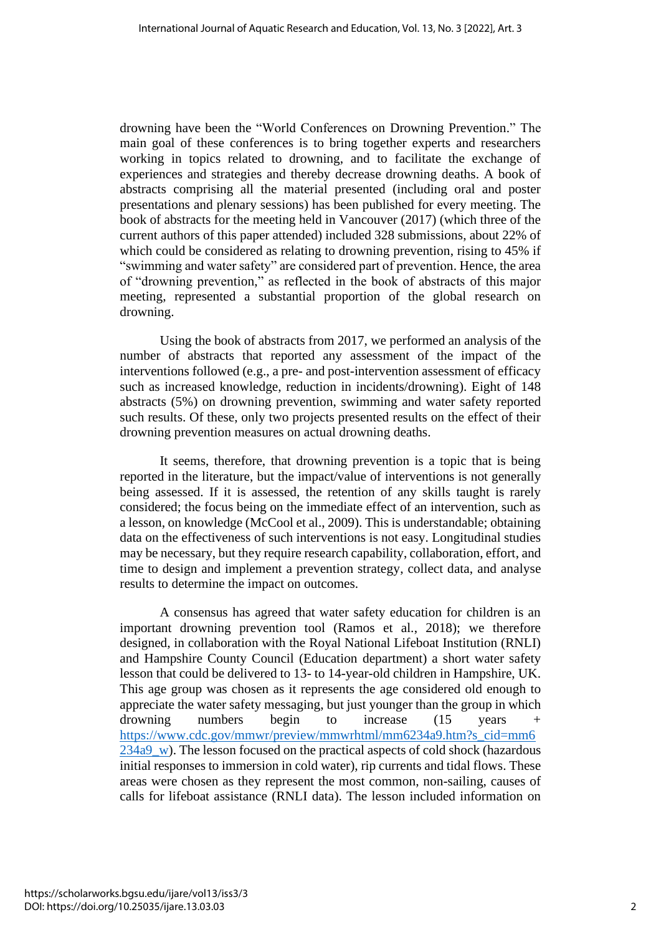drowning have been the "World Conferences on Drowning Prevention." The main goal of these conferences is to bring together experts and researchers working in topics related to drowning, and to facilitate the exchange of experiences and strategies and thereby decrease drowning deaths. A book of abstracts comprising all the material presented (including oral and poster presentations and plenary sessions) has been published for every meeting. The book of abstracts for the meeting held in Vancouver (2017) (which three of the current authors of this paper attended) included 328 submissions, about 22% of which could be considered as relating to drowning prevention, rising to 45% if "swimming and water safety" are considered part of prevention. Hence, the area of "drowning prevention," as reflected in the book of abstracts of this major meeting, represented a substantial proportion of the global research on drowning.

Using the book of abstracts from 2017, we performed an analysis of the number of abstracts that reported any assessment of the impact of the interventions followed (e.g., a pre- and post-intervention assessment of efficacy such as increased knowledge, reduction in incidents/drowning). Eight of 148 abstracts (5%) on drowning prevention, swimming and water safety reported such results. Of these, only two projects presented results on the effect of their drowning prevention measures on actual drowning deaths.

It seems, therefore, that drowning prevention is a topic that is being reported in the literature, but the impact/value of interventions is not generally being assessed. If it is assessed, the retention of any skills taught is rarely considered; the focus being on the immediate effect of an intervention, such as a lesson, on knowledge (McCool et al., 2009). This is understandable; obtaining data on the effectiveness of such interventions is not easy. Longitudinal studies may be necessary, but they require research capability, collaboration, effort, and time to design and implement a prevention strategy, collect data, and analyse results to determine the impact on outcomes.

A consensus has agreed that water safety education for children is an important drowning prevention tool (Ramos et al., 2018); we therefore designed, in collaboration with the Royal National Lifeboat Institution (RNLI) and Hampshire County Council (Education department) a short water safety lesson that could be delivered to 13- to 14-year-old children in Hampshire, UK. This age group was chosen as it represents the age considered old enough to appreciate the water safety messaging, but just younger than the group in which drowning numbers begin to increase (15 years [https://www.cdc.gov/mmwr/preview/mmwrhtml/mm6234a9.htm?s\\_cid=mm6](https://www.cdc.gov/mmwr/preview/mmwrhtml/mm6234a9.htm?s_cid=mm6234a9_w) [234a9\\_w\)](https://www.cdc.gov/mmwr/preview/mmwrhtml/mm6234a9.htm?s_cid=mm6234a9_w). The lesson focused on the practical aspects of cold shock (hazardous initial responses to immersion in cold water), rip currents and tidal flows. These areas were chosen as they represent the most common, non-sailing, causes of calls for lifeboat assistance (RNLI data). The lesson included information on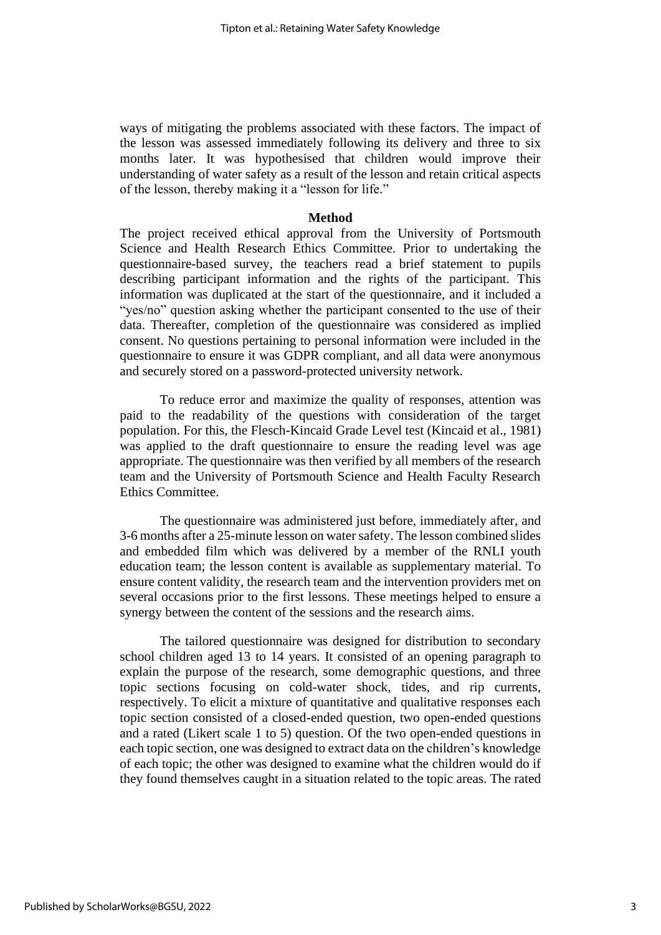ways of mitigating the problems associated with these factors. The impact of the lesson was assessed immediately following its delivery and three to six months later. It was hypothesised that children would improve their understanding of water safety as a result of the lesson and retain critical aspects of the lesson, thereby making it a "lesson for life."

#### **Method**

The project received ethical approval from the University of Portsmouth Science and Health Research Ethics Committee. Prior to undertaking the questionnaire-based survey, the teachers read a brief statement to pupils describing participant information and the rights of the participant. This information was duplicated at the start of the questionnaire, and it included a "yes/no" question asking whether the participant consented to the use of their data. Thereafter, completion of the questionnaire was considered as implied consent. No questions pertaining to personal information were included in the questionnaire to ensure it was GDPR compliant, and all data were anonymous and securely stored on a password-protected university network.

To reduce error and maximize the quality of responses, attention was paid to the readability of the questions with consideration of the target population. For this, the Flesch-Kincaid Grade Level test (Kincaid et al., 1981) was applied to the draft questionnaire to ensure the reading level was age appropriate. The questionnaire was then verified by all members of the research team and the University of Portsmouth Science and Health Faculty Research Ethics Committee.

The questionnaire was administered just before, immediately after, and 3-6 months after a 25-minute lesson on water safety. The lesson combined slides and embedded film which was delivered by a member of the RNLI youth education team; the lesson content is available as supplementary material. To ensure content validity, the research team and the intervention providers met on several occasions prior to the first lessons. These meetings helped to ensure a synergy between the content of the sessions and the research aims.

The tailored questionnaire was designed for distribution to secondary school children aged 13 to 14 years. It consisted of an opening paragraph to explain the purpose of the research, some demographic questions, and three topic sections focusing on cold-water shock, tides, and rip currents, respectively. To elicit a mixture of quantitative and qualitative responses each topic section consisted of a closed-ended question, two open-ended questions and a rated (Likert scale 1 to 5) question. Of the two open-ended questions in each topic section, one was designed to extract data on the children's knowledge of each topic; the other was designed to examine what the children would do if they found themselves caught in a situation related to the topic areas. The rated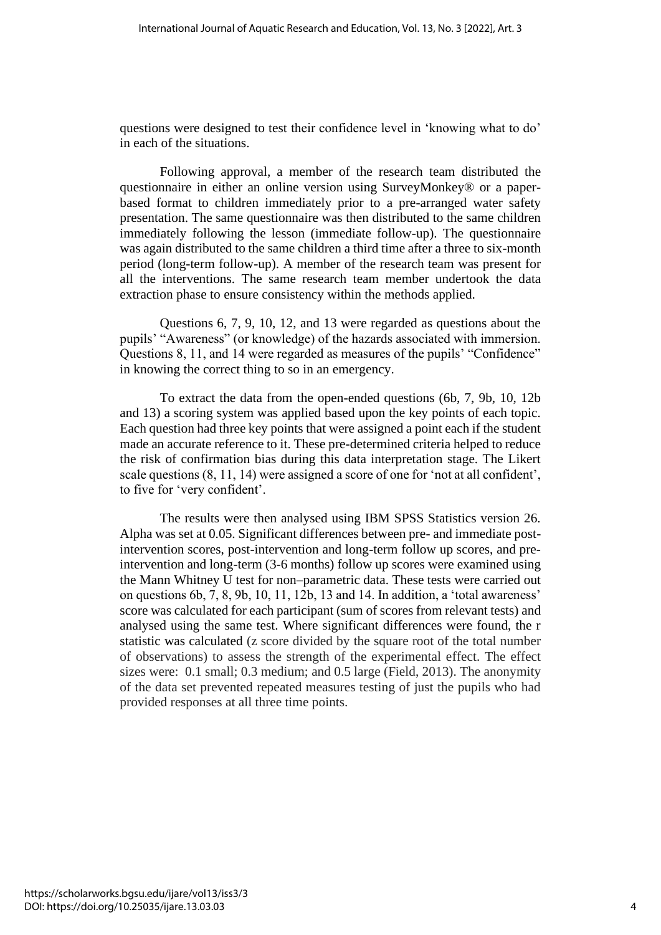questions were designed to test their confidence level in 'knowing what to do' in each of the situations.

Following approval, a member of the research team distributed the questionnaire in either an online version using SurveyMonkey® or a paperbased format to children immediately prior to a pre-arranged water safety presentation. The same questionnaire was then distributed to the same children immediately following the lesson (immediate follow-up). The questionnaire was again distributed to the same children a third time after a three to six-month period (long-term follow-up). A member of the research team was present for all the interventions. The same research team member undertook the data extraction phase to ensure consistency within the methods applied.

Questions 6, 7, 9, 10, 12, and 13 were regarded as questions about the pupils' "Awareness" (or knowledge) of the hazards associated with immersion. Questions 8, 11, and 14 were regarded as measures of the pupils' "Confidence" in knowing the correct thing to so in an emergency.

To extract the data from the open-ended questions (6b, 7, 9b, 10, 12b and 13) a scoring system was applied based upon the key points of each topic. Each question had three key points that were assigned a point each if the student made an accurate reference to it. These pre-determined criteria helped to reduce the risk of confirmation bias during this data interpretation stage. The Likert scale questions (8, 11, 14) were assigned a score of one for 'not at all confident', to five for 'very confident'.

The results were then analysed using IBM SPSS Statistics version 26. Alpha was set at 0.05. Significant differences between pre- and immediate postintervention scores, post-intervention and long-term follow up scores, and preintervention and long-term (3-6 months) follow up scores were examined using the Mann Whitney U test for non–parametric data. These tests were carried out on questions 6b, 7, 8, 9b, 10, 11, 12b, 13 and 14. In addition, a 'total awareness' score was calculated for each participant (sum of scores from relevant tests) and analysed using the same test. Where significant differences were found, the r statistic was calculated (z score divided by the square root of the total number of observations) to assess the strength of the experimental effect. The effect sizes were: 0.1 small; 0.3 medium; and 0.5 large (Field, 2013). The anonymity of the data set prevented repeated measures testing of just the pupils who had provided responses at all three time points.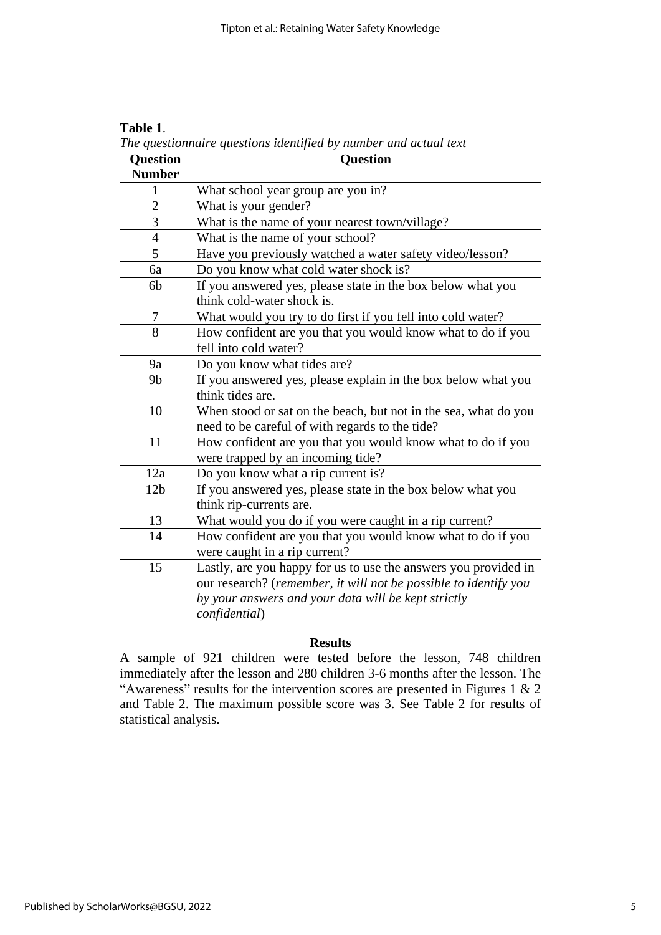| <b>Question</b> | <b>Question</b>                                                  |  |  |  |
|-----------------|------------------------------------------------------------------|--|--|--|
| <b>Number</b>   |                                                                  |  |  |  |
| $\mathbf{1}$    | What school year group are you in?                               |  |  |  |
| $\overline{2}$  | What is your gender?                                             |  |  |  |
| 3               | What is the name of your nearest town/village?                   |  |  |  |
| 4               | What is the name of your school?                                 |  |  |  |
| 5               | Have you previously watched a water safety video/lesson?         |  |  |  |
| 6a              | Do you know what cold water shock is?                            |  |  |  |
| 6b              | If you answered yes, please state in the box below what you      |  |  |  |
|                 | think cold-water shock is.                                       |  |  |  |
| 7               | What would you try to do first if you fell into cold water?      |  |  |  |
| 8               | How confident are you that you would know what to do if you      |  |  |  |
|                 | fell into cold water?                                            |  |  |  |
| 9a              | Do you know what tides are?                                      |  |  |  |
| 9 <sub>b</sub>  | If you answered yes, please explain in the box below what you    |  |  |  |
|                 | think tides are.                                                 |  |  |  |
| 10              | When stood or sat on the beach, but not in the sea, what do you  |  |  |  |
|                 | need to be careful of with regards to the tide?                  |  |  |  |
| 11              | How confident are you that you would know what to do if you      |  |  |  |
|                 | were trapped by an incoming tide?                                |  |  |  |
| 12a             | Do you know what a rip current is?                               |  |  |  |
| 12 <sub>b</sub> | If you answered yes, please state in the box below what you      |  |  |  |
|                 | think rip-currents are.                                          |  |  |  |
| 13              | What would you do if you were caught in a rip current?           |  |  |  |
| 14              | How confident are you that you would know what to do if you      |  |  |  |
|                 | were caught in a rip current?                                    |  |  |  |
| 15              | Lastly, are you happy for us to use the answers you provided in  |  |  |  |
|                 | our research? (remember, it will not be possible to identify you |  |  |  |
|                 | by your answers and your data will be kept strictly              |  |  |  |
|                 | confidential)                                                    |  |  |  |

**Table 1**. *The questionnaire questions identified by number and actual text*

## **Results**

A sample of 921 children were tested before the lesson, 748 children immediately after the lesson and 280 children 3-6 months after the lesson. The "Awareness" results for the intervention scores are presented in Figures 1  $\&$  2 and Table 2. The maximum possible score was 3. See Table 2 for results of statistical analysis.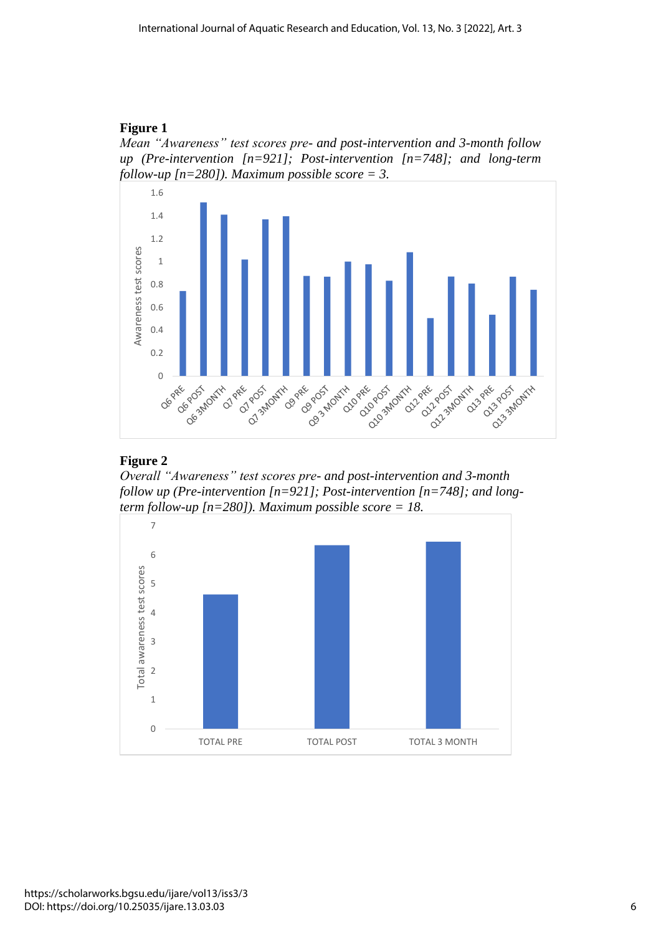## **Figure 1**





### **Figure 2**

*Overall "Awareness" test scores pre- and post-intervention and 3-month follow up (Pre-intervention [n=921]; Post-intervention [n=748]; and longterm follow-up [n=280]). Maximum possible score = 18.*

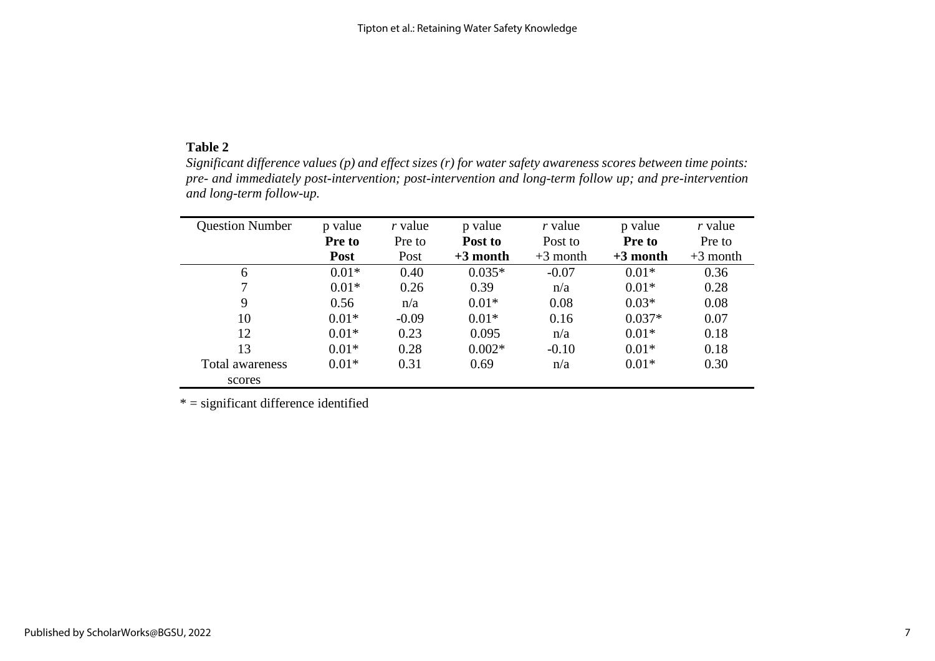## **Table 2**

*Significant difference values (p) and effect sizes (r) for water safety awareness scores between time points: pre- and immediately post-intervention; post-intervention and long-term follow up; and pre-intervention and long-term follow-up.*

| <b>Question Number</b> | p value<br>Pre to | r value<br>Pre to | p value<br>Post to | r value<br>Post to | p value<br><b>Pre to</b> | r value<br>Pre to |
|------------------------|-------------------|-------------------|--------------------|--------------------|--------------------------|-------------------|
|                        | Post              | Post              | $+3$ month         | $+3$ month         | $+3$ month               | $+3$ month        |
| 6                      | $0.01*$           | 0.40              | $0.035*$           | $-0.07$            | $0.01*$                  | 0.36              |
| $\tau$                 | $0.01*$           | 0.26              | 0.39               | n/a                | $0.01*$                  | 0.28              |
| 9                      | 0.56              | n/a               | $0.01*$            | 0.08               | $0.03*$                  | 0.08              |
| 10                     | $0.01*$           | $-0.09$           | $0.01*$            | 0.16               | $0.037*$                 | 0.07              |
| 12                     | $0.01*$           | 0.23              | 0.095              | n/a                | $0.01*$                  | 0.18              |
| 13                     | $0.01*$           | 0.28              | $0.002*$           | $-0.10$            | $0.01*$                  | 0.18              |
| Total awareness        | $0.01*$           | 0.31              | 0.69               | n/a                | $0.01*$                  | 0.30              |
| scores                 |                   |                   |                    |                    |                          |                   |

 $* =$  significant difference identified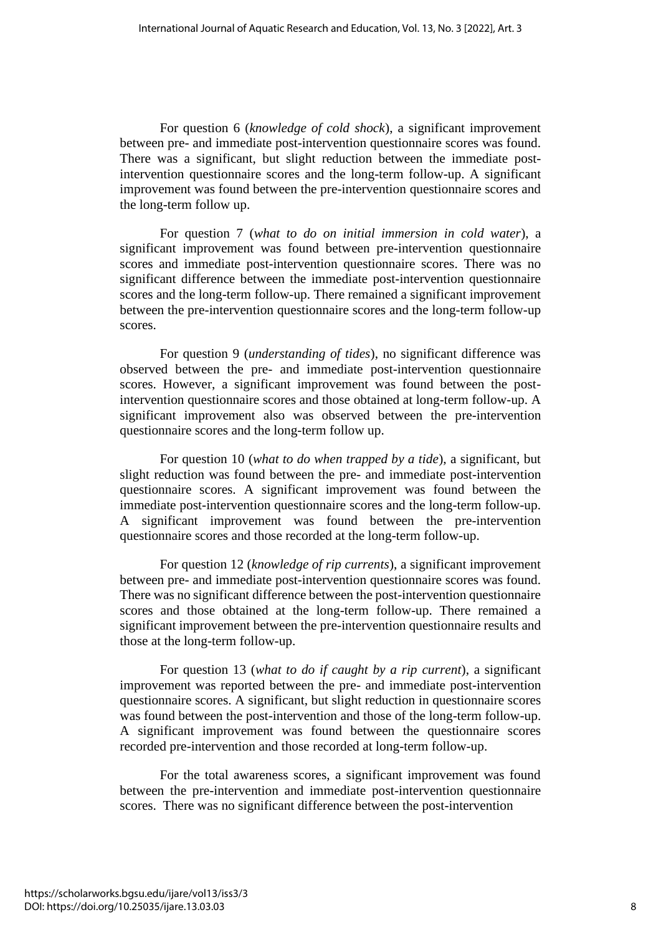For question 6 (*knowledge of cold shock*), a significant improvement between pre- and immediate post-intervention questionnaire scores was found. There was a significant, but slight reduction between the immediate postintervention questionnaire scores and the long-term follow-up. A significant improvement was found between the pre-intervention questionnaire scores and the long-term follow up.

For question 7 (*what to do on initial immersion in cold water*), a significant improvement was found between pre-intervention questionnaire scores and immediate post-intervention questionnaire scores. There was no significant difference between the immediate post-intervention questionnaire scores and the long-term follow-up. There remained a significant improvement between the pre-intervention questionnaire scores and the long-term follow-up scores.

For question 9 (*understanding of tides*), no significant difference was observed between the pre- and immediate post-intervention questionnaire scores. However, a significant improvement was found between the postintervention questionnaire scores and those obtained at long-term follow-up. A significant improvement also was observed between the pre-intervention questionnaire scores and the long-term follow up.

For question 10 (*what to do when trapped by a tide*), a significant, but slight reduction was found between the pre- and immediate post-intervention questionnaire scores. A significant improvement was found between the immediate post-intervention questionnaire scores and the long-term follow-up. A significant improvement was found between the pre-intervention questionnaire scores and those recorded at the long-term follow-up.

For question 12 (*knowledge of rip currents*), a significant improvement between pre- and immediate post-intervention questionnaire scores was found. There was no significant difference between the post-intervention questionnaire scores and those obtained at the long-term follow-up. There remained a significant improvement between the pre-intervention questionnaire results and those at the long-term follow-up.

For question 13 (*what to do if caught by a rip current*), a significant improvement was reported between the pre- and immediate post-intervention questionnaire scores. A significant, but slight reduction in questionnaire scores was found between the post-intervention and those of the long-term follow-up. A significant improvement was found between the questionnaire scores recorded pre-intervention and those recorded at long-term follow-up.

For the total awareness scores, a significant improvement was found between the pre-intervention and immediate post-intervention questionnaire scores. There was no significant difference between the post-intervention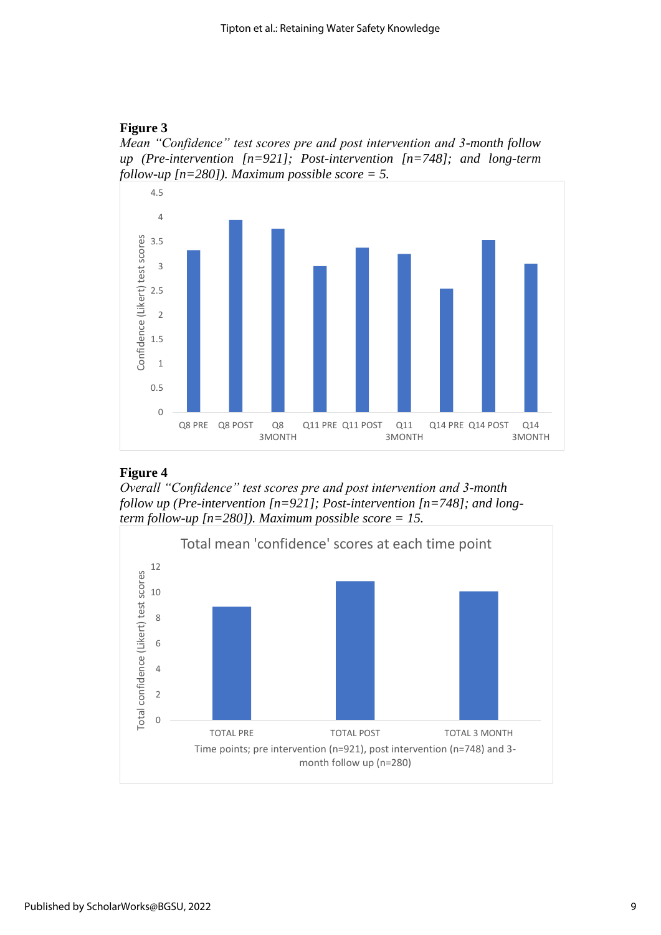# **Figure 3**

*Mean "Confidence" test scores pre and post intervention and 3-month follow up (Pre-intervention [n=921]; Post-intervention [n=748]; and long-term follow-up [n=280]). Maximum possible score = 5.*



## **Figure 4**

*Overall "Confidence" test scores pre and post intervention and 3-month follow up (Pre-intervention [n=921]; Post-intervention [n=748]; and longterm follow-up [n=280]). Maximum possible score = 15.*

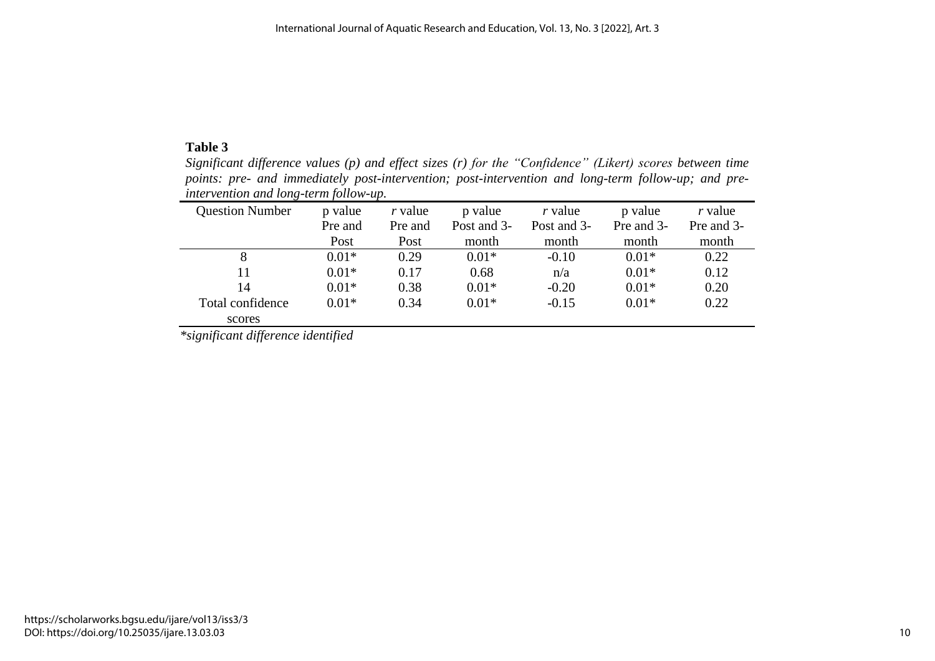## **Table 3**

*Significant difference values (p) and effect sizes (r) for the "Confidence" (Likert) scores between time points: pre- and immediately post-intervention; post-intervention and long-term follow-up; and preintervention and long-term follow-up.* ÷.

| <b>Question Number</b> | p value | $r$ value | p value     | r value     | p value    | $r$ value  |
|------------------------|---------|-----------|-------------|-------------|------------|------------|
|                        | Pre and | Pre and   | Post and 3- | Post and 3- | Pre and 3- | Pre and 3- |
|                        | Post    | Post      | month       | month       | month      | month      |
| 8                      | $0.01*$ | 0.29      | $0.01*$     | $-0.10$     | $0.01*$    | 0.22       |
| 11                     | $0.01*$ | 0.17      | 0.68        | n/a         | $0.01*$    | 0.12       |
| 14                     | $0.01*$ | 0.38      | $0.01*$     | $-0.20$     | $0.01*$    | 0.20       |
| Total confidence       | $0.01*$ | 0.34      | $0.01*$     | $-0.15$     | $0.01*$    | 0.22       |
| scores                 |         |           |             |             |            |            |

*\*significant difference identified*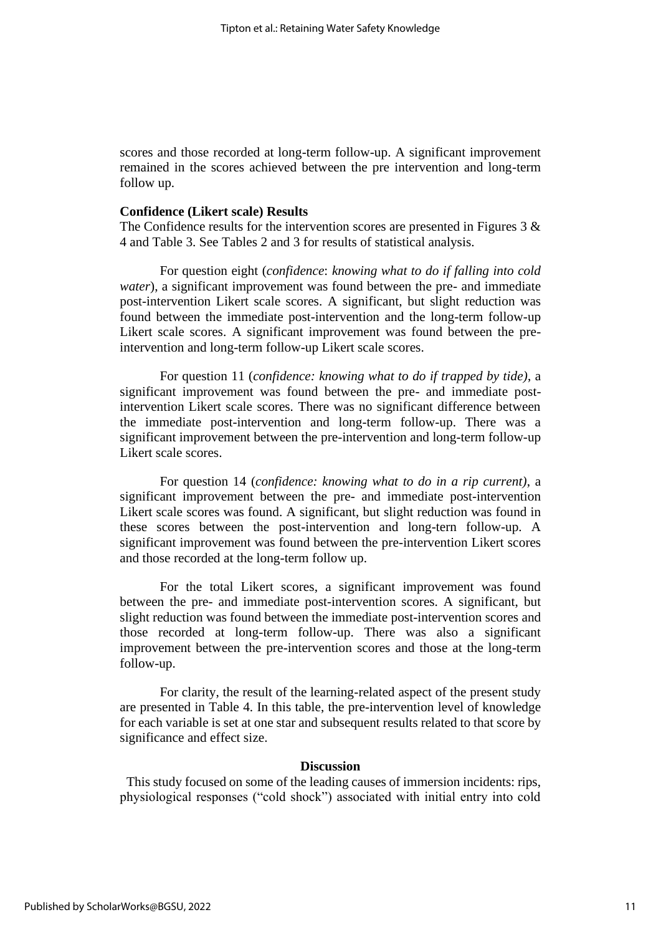scores and those recorded at long-term follow-up. A significant improvement remained in the scores achieved between the pre intervention and long-term follow up.

### **Confidence (Likert scale) Results**

The Confidence results for the intervention scores are presented in Figures  $3 \&$ 4 and Table 3. See Tables 2 and 3 for results of statistical analysis.

For question eight (*confidence*: *knowing what to do if falling into cold water*), a significant improvement was found between the pre- and immediate post-intervention Likert scale scores. A significant, but slight reduction was found between the immediate post-intervention and the long-term follow-up Likert scale scores. A significant improvement was found between the preintervention and long-term follow-up Likert scale scores.

For question 11 (*confidence: knowing what to do if trapped by tide)*, a significant improvement was found between the pre- and immediate postintervention Likert scale scores. There was no significant difference between the immediate post-intervention and long-term follow-up. There was a significant improvement between the pre-intervention and long-term follow-up Likert scale scores.

For question 14 (*confidence: knowing what to do in a rip current)*, a significant improvement between the pre- and immediate post-intervention Likert scale scores was found. A significant, but slight reduction was found in these scores between the post-intervention and long-tern follow-up. A significant improvement was found between the pre-intervention Likert scores and those recorded at the long-term follow up.

For the total Likert scores, a significant improvement was found between the pre- and immediate post-intervention scores. A significant, but slight reduction was found between the immediate post-intervention scores and those recorded at long-term follow-up. There was also a significant improvement between the pre-intervention scores and those at the long-term follow-up.

For clarity, the result of the learning-related aspect of the present study are presented in Table 4. In this table, the pre-intervention level of knowledge for each variable is set at one star and subsequent results related to that score by significance and effect size.

#### **Discussion**

 This study focused on some of the leading causes of immersion incidents: rips, physiological responses ("cold shock") associated with initial entry into cold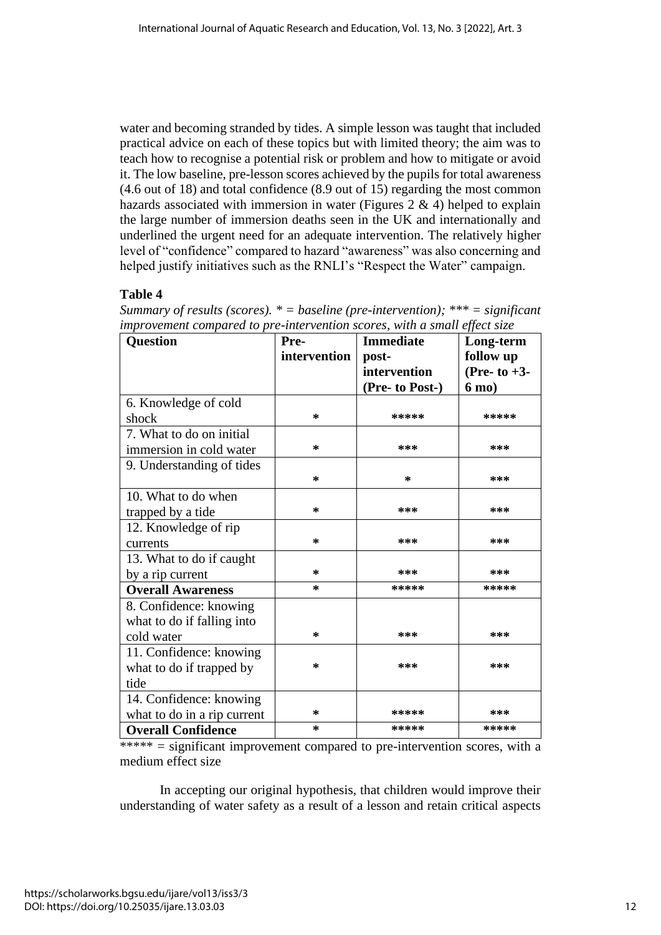water and becoming stranded by tides. A simple lesson was taught that included practical advice on each of these topics but with limited theory; the aim was to teach how to recognise a potential risk or problem and how to mitigate or avoid it. The low baseline, pre-lesson scores achieved by the pupils for total awareness (4.6 out of 18) and total confidence (8.9 out of 15) regarding the most common hazards associated with immersion in water (Figures  $2 \& 4$ ) helped to explain the large number of immersion deaths seen in the UK and internationally and underlined the urgent need for an adequate intervention. The relatively higher level of "confidence" compared to hazard "awareness" was also concerning and helped justify initiatives such as the RNLI's "Respect the Water" campaign.

# **Table 4**

| improvement compared to pre-intervention scores, with a small effect size<br><b>Question</b> | Pre-         | <b>Immediate</b> | Long-term       |
|----------------------------------------------------------------------------------------------|--------------|------------------|-----------------|
|                                                                                              | intervention | post-            | follow up       |
|                                                                                              |              | intervention     | (Pre- to $+3$ - |
|                                                                                              |              | (Pre- to Post-)  | 6 mo)           |
| 6. Knowledge of cold                                                                         |              |                  |                 |
| shock                                                                                        | ∗            | *****            | *****           |
| 7. What to do on initial                                                                     |              |                  |                 |
| immersion in cold water                                                                      | *            | ***              | ***             |
| 9. Understanding of tides                                                                    |              |                  |                 |
|                                                                                              | ∗            | ∗                | ***             |
| 10. What to do when                                                                          |              |                  |                 |
| trapped by a tide                                                                            | ∗            | ***              | ***             |
| 12. Knowledge of rip                                                                         |              |                  |                 |
| currents                                                                                     | ∗            | ***              | ***             |
| 13. What to do if caught                                                                     |              |                  |                 |
| by a rip current                                                                             | ∗            | ***              | ***             |
| <b>Overall Awareness</b>                                                                     | ∗            | *****            | *****           |
| 8. Confidence: knowing                                                                       |              |                  |                 |
| what to do if falling into                                                                   |              |                  |                 |
| cold water                                                                                   | ∗            | ***              | ***             |
| 11. Confidence: knowing                                                                      |              |                  |                 |
| what to do if trapped by                                                                     | *            | ***              | ***             |
| tide                                                                                         |              |                  |                 |
| 14. Confidence: knowing                                                                      |              |                  |                 |
| what to do in a rip current                                                                  | ∗            | *****            | ***             |
| <b>Overall Confidence</b>                                                                    | ∗            | *****            | *****           |

*Summary of results (scores). \* = baseline (pre-intervention); \*\*\* = significant improvement compared to pre-intervention scores, with a small effect size*

\*\*\*\*\*  $=$  significant improvement compared to pre-intervention scores, with a medium effect size

In accepting our original hypothesis, that children would improve their understanding of water safety as a result of a lesson and retain critical aspects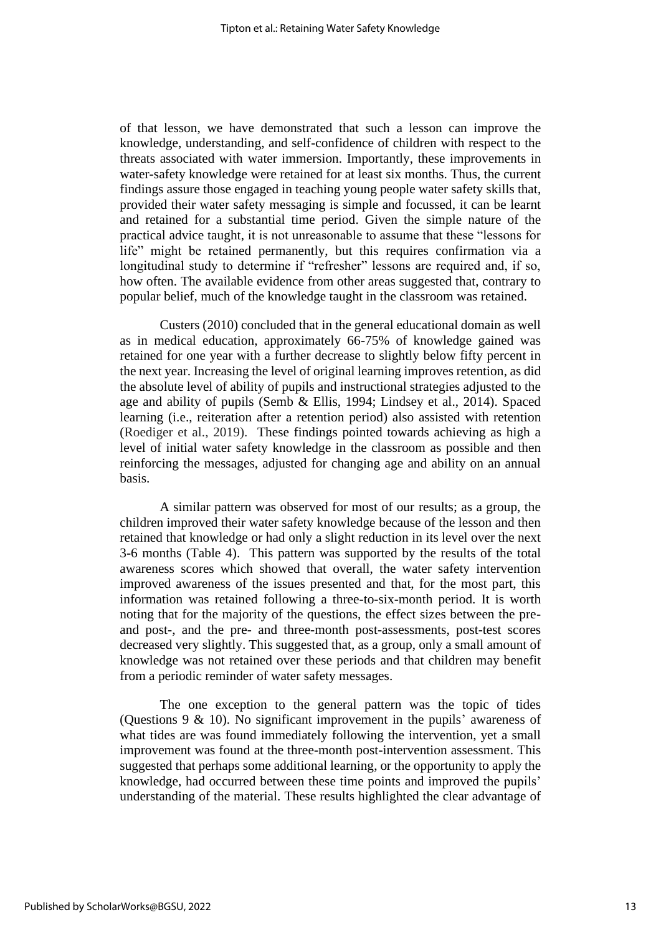of that lesson, we have demonstrated that such a lesson can improve the knowledge, understanding, and self-confidence of children with respect to the threats associated with water immersion. Importantly, these improvements in water-safety knowledge were retained for at least six months. Thus, the current findings assure those engaged in teaching young people water safety skills that, provided their water safety messaging is simple and focussed, it can be learnt and retained for a substantial time period. Given the simple nature of the practical advice taught, it is not unreasonable to assume that these "lessons for life" might be retained permanently, but this requires confirmation via a longitudinal study to determine if "refresher" lessons are required and, if so, how often. The available evidence from other areas suggested that, contrary to popular belief, much of the knowledge taught in the classroom was retained.

Custers (2010) concluded that in the general educational domain as well as in medical education, approximately 66-75% of knowledge gained was retained for one year with a further decrease to slightly below fifty percent in the next year. Increasing the level of original learning improves retention, as did the absolute level of ability of pupils and instructional strategies adjusted to the age and ability of pupils (Semb & Ellis, 1994; Lindsey et al., 2014). Spaced learning (i.e., reiteration after a retention period) also assisted with retention (Roediger et al., 2019). These findings pointed towards achieving as high a level of initial water safety knowledge in the classroom as possible and then reinforcing the messages, adjusted for changing age and ability on an annual basis.

A similar pattern was observed for most of our results; as a group, the children improved their water safety knowledge because of the lesson and then retained that knowledge or had only a slight reduction in its level over the next 3-6 months (Table 4). This pattern was supported by the results of the total awareness scores which showed that overall, the water safety intervention improved awareness of the issues presented and that, for the most part, this information was retained following a three-to-six-month period. It is worth noting that for the majority of the questions, the effect sizes between the preand post-, and the pre- and three-month post-assessments, post-test scores decreased very slightly. This suggested that, as a group, only a small amount of knowledge was not retained over these periods and that children may benefit from a periodic reminder of water safety messages.

The one exception to the general pattern was the topic of tides (Questions 9 & 10). No significant improvement in the pupils' awareness of what tides are was found immediately following the intervention, yet a small improvement was found at the three-month post-intervention assessment. This suggested that perhaps some additional learning, or the opportunity to apply the knowledge, had occurred between these time points and improved the pupils' understanding of the material. These results highlighted the clear advantage of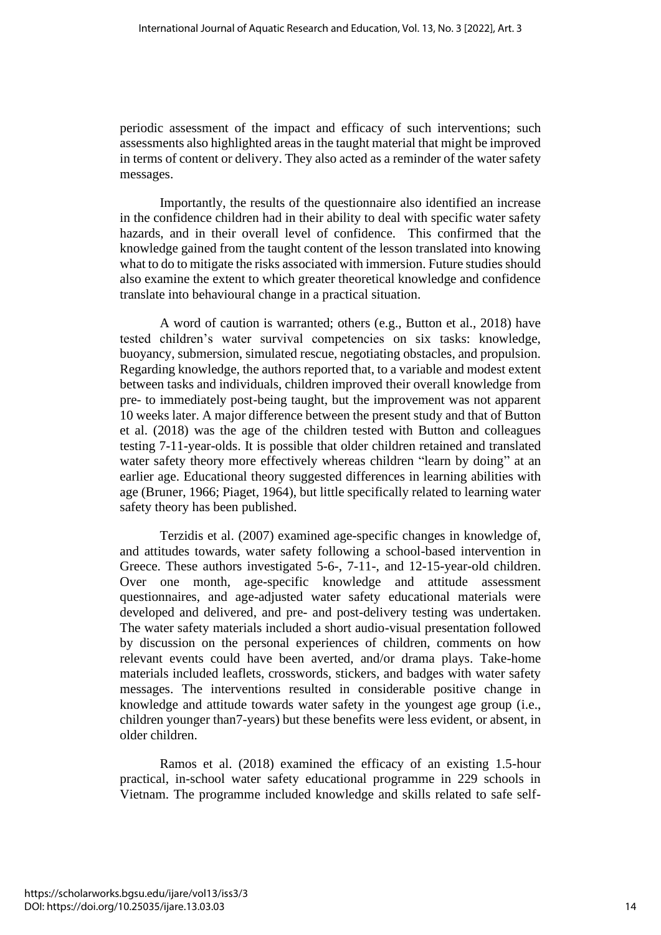periodic assessment of the impact and efficacy of such interventions; such assessments also highlighted areas in the taught material that might be improved in terms of content or delivery. They also acted as a reminder of the water safety messages.

Importantly, the results of the questionnaire also identified an increase in the confidence children had in their ability to deal with specific water safety hazards, and in their overall level of confidence. This confirmed that the knowledge gained from the taught content of the lesson translated into knowing what to do to mitigate the risks associated with immersion. Future studies should also examine the extent to which greater theoretical knowledge and confidence translate into behavioural change in a practical situation.

A word of caution is warranted; others (e.g., Button et al., 2018) have tested children's water survival competencies on six tasks: knowledge, buoyancy, submersion, simulated rescue, negotiating obstacles, and propulsion. Regarding knowledge, the authors reported that, to a variable and modest extent between tasks and individuals, children improved their overall knowledge from pre- to immediately post-being taught, but the improvement was not apparent 10 weeks later. A major difference between the present study and that of Button et al. (2018) was the age of the children tested with Button and colleagues testing 7-11-year-olds. It is possible that older children retained and translated water safety theory more effectively whereas children "learn by doing" at an earlier age. Educational theory suggested differences in learning abilities with age (Bruner, 1966; Piaget, 1964), but little specifically related to learning water safety theory has been published.

Terzidis et al. (2007) examined age-specific changes in knowledge of, and attitudes towards, water safety following a school-based intervention in Greece. These authors investigated 5-6-, 7-11-, and 12-15-year-old children. Over one month, age-specific knowledge and attitude assessment questionnaires, and age-adjusted water safety educational materials were developed and delivered, and pre- and post-delivery testing was undertaken. The water safety materials included a short audio-visual presentation followed by discussion on the personal experiences of children, comments on how relevant events could have been averted, and/or drama plays. Take-home materials included leaflets, crosswords, stickers, and badges with water safety messages. The interventions resulted in considerable positive change in knowledge and attitude towards water safety in the youngest age group (i.e., children younger than7-years) but these benefits were less evident, or absent, in older children.

Ramos et al. (2018) examined the efficacy of an existing 1.5-hour practical, in-school water safety educational programme in 229 schools in Vietnam. The programme included knowledge and skills related to safe self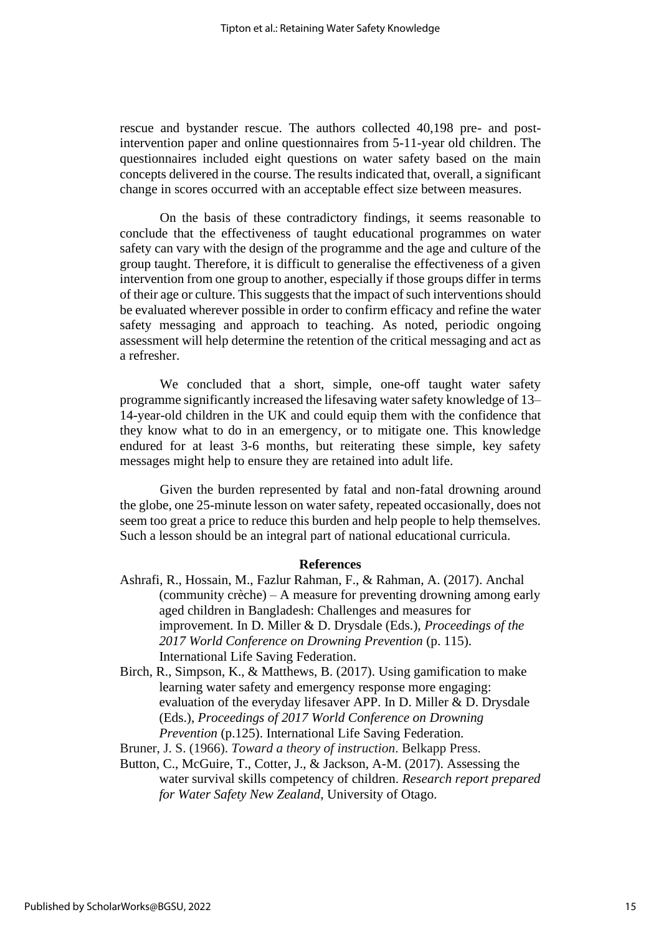rescue and bystander rescue. The authors collected 40,198 pre- and postintervention paper and online questionnaires from 5-11-year old children. The questionnaires included eight questions on water safety based on the main concepts delivered in the course. The results indicated that, overall, a significant change in scores occurred with an acceptable effect size between measures.

On the basis of these contradictory findings, it seems reasonable to conclude that the effectiveness of taught educational programmes on water safety can vary with the design of the programme and the age and culture of the group taught. Therefore, it is difficult to generalise the effectiveness of a given intervention from one group to another, especially if those groups differ in terms of their age or culture. This suggests that the impact of such interventions should be evaluated wherever possible in order to confirm efficacy and refine the water safety messaging and approach to teaching. As noted, periodic ongoing assessment will help determine the retention of the critical messaging and act as a refresher.

We concluded that a short, simple, one-off taught water safety programme significantly increased the lifesaving water safety knowledge of 13– 14-year-old children in the UK and could equip them with the confidence that they know what to do in an emergency, or to mitigate one. This knowledge endured for at least 3-6 months, but reiterating these simple, key safety messages might help to ensure they are retained into adult life.

Given the burden represented by fatal and non-fatal drowning around the globe, one 25-minute lesson on water safety, repeated occasionally, does not seem too great a price to reduce this burden and help people to help themselves. Such a lesson should be an integral part of national educational curricula.

#### **References**

- Ashrafi, R., Hossain, M., Fazlur Rahman, F., & Rahman, A. (2017). Anchal (community crèche) – A measure for preventing drowning among early aged children in Bangladesh: Challenges and measures for improvement. In D. Miller & D. Drysdale (Eds.), *Proceedings of the 2017 World Conference on Drowning Prevention* (p. 115). International Life Saving Federation.
- Birch, R., Simpson, K., & Matthews, B. (2017). Using gamification to make learning water safety and emergency response more engaging: evaluation of the everyday lifesaver APP. In D. Miller & D. Drysdale (Eds.), *Proceedings of 2017 World Conference on Drowning Prevention* (p.125). International Life Saving Federation.
- Bruner, J. S. (1966). *Toward a theory of instruction*. Belkapp Press.

Button, C., McGuire, T., Cotter, J., & Jackson, A-M. (2017). Assessing the water survival skills competency of children. *Research report prepared for Water Safety New Zealand*, University of Otago.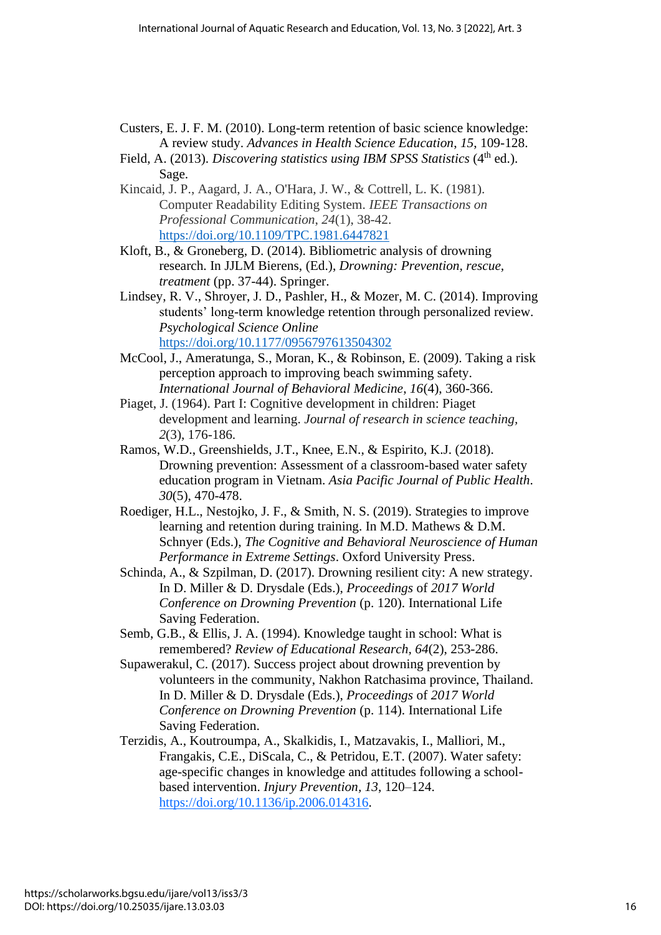- Custers, E. J. F. M. (2010). Long-term retention of basic science knowledge: A review study. *Advances in Health Science Education*, *15*, 109-128.
- Field, A. (2013). *Discovering statistics using IBM SPSS Statistics* (4<sup>th</sup> ed.). Sage.
- Kincaid, J. P., Aagard, J. A., O'Hara, J. W., & Cottrell, L. K. (1981). Computer Readability Editing System. *IEEE Transactions on Professional Communication*, *24*(1), 38-42. <https://doi.org/10.1109/TPC.1981.6447821>
- Kloft, B., & Groneberg, D. (2014). Bibliometric analysis of drowning research. In JJLM Bierens, (Ed.), *Drowning: Prevention, rescue, treatment* (pp. 37-44). Springer.
- Lindsey, R. V., Shroyer, J. D., Pashler, H., & Mozer, M. C. (2014). Improving students' long-term knowledge retention through personalized review. *Psychological Science Online* <https://doi.org/10.1177/0956797613504302>
- McCool, J., Ameratunga, S., Moran, K., & Robinson, E. (2009). Taking a risk perception approach to improving beach swimming safety. *International Journal of Behavioral Medicine*, *16*(4), 360-366.
- Piaget, J. (1964). Part I: Cognitive development in children: Piaget development and learning. *Journal of research in science teaching, 2*(3), 176-186.
- Ramos, W.D., Greenshields, J.T., Knee, E.N., & Espirito, K.J. (2018). Drowning prevention: Assessment of a classroom-based water safety education program in Vietnam. *Asia Pacific Journal of Public Health*. *30*(5), 470-478.
- Roediger, H.L., Nestojko, J. F., & Smith, N. S. (2019). Strategies to improve learning and retention during training. In M.D. Mathews & D.M. Schnyer (Eds.), *The Cognitive and Behavioral Neuroscience of Human Performance in Extreme Settings*. Oxford University Press.
- Schinda, A., & Szpilman, D. (2017). Drowning resilient city: A new strategy. In D. Miller & D. Drysdale (Eds.), *Proceedings* of *2017 World Conference on Drowning Prevention* (p. 120). International Life Saving Federation.
- Semb, G.B., & Ellis, J. A. (1994). Knowledge taught in school: What is remembered? *Review of Educational Research, 64*(2), 253-286.
- Supawerakul, C. (2017). Success project about drowning prevention by volunteers in the community, Nakhon Ratchasima province, Thailand. In D. Miller & D. Drysdale (Eds.), *Proceedings* of *2017 World Conference on Drowning Prevention* (p. 114). International Life Saving Federation.
- Terzidis, A., Koutroumpa, A., Skalkidis, I., Matzavakis, I., Malliori, M., Frangakis, C.E., DiScala, C., & Petridou, E.T. (2007). Water safety: age-specific changes in knowledge and attitudes following a schoolbased intervention. *Injury Prevention, 13*, 120–124. https://doi.org/10.1136/ip.2006.014316.